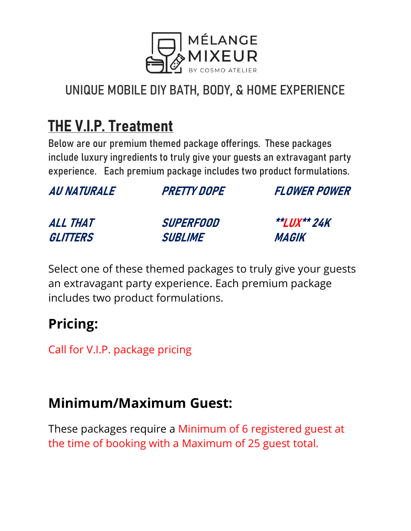

## THE V.I.P. Treatment

Below are our premium themed package offerings. These packages include luxury ingredients to truly give your guests an extravagant party experience. Each premium package includes two product formulations.

| <i><b>AU NATURALE</b></i> | <b>PRETTY DOPE</b> | <b>FLOWER POWER</b> |
|---------------------------|--------------------|---------------------|
| ALL THAT                  | <b>SUPERFOOD</b>   | <b>**LUX** 24K</b>  |
| GLITTERS                  | <b>SUBLIME</b>     | <b>MAGIK</b>        |

Select one of these themed packages to truly give your guests an extravagant party experience. Each premium package includes two product formulations.

## Pricing:

Call for V.I.P. package pricing

#### Minimum/Maximum Guest:

These packages require a Minimum of 6 registered guest at the time of booking with a Maximum of 25 guest total.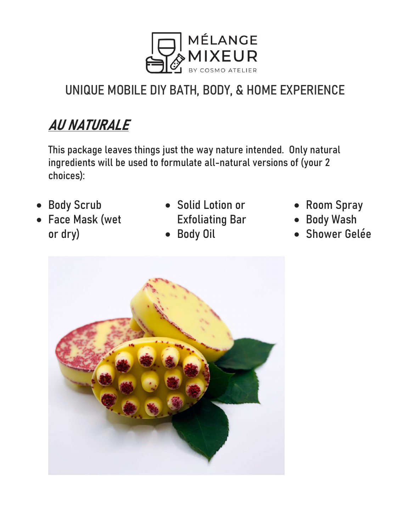

# AU NATURALE

This package leaves things just the way nature intended. Only natural ingredients will be used to formulate all-natural versions of (your 2 choices):

- Body Scrub
- Face Mask (wet or dry)
- Solid Lotion or Exfoliating Bar
- Body Oil
- Room Spray
- Body Wash
- Shower Gelée

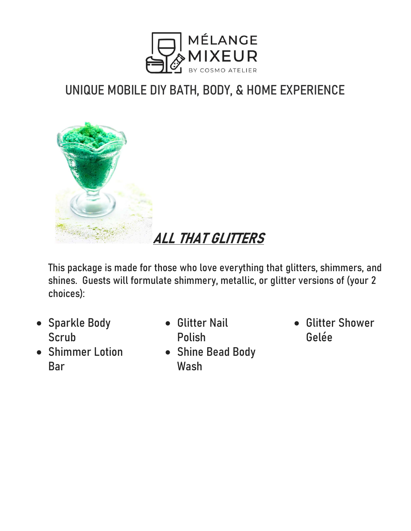



This package is made for those who love everything that glitters, shimmers, and shines. Guests will formulate shimmery, metallic, or glitter versions of (your 2 choices):

- Sparkle Body **Scrub**
- Shimmer Lotion Bar
- **Glitter Nail** Polish
- Shine Bead Body Wash
- Glitter Shower Gelée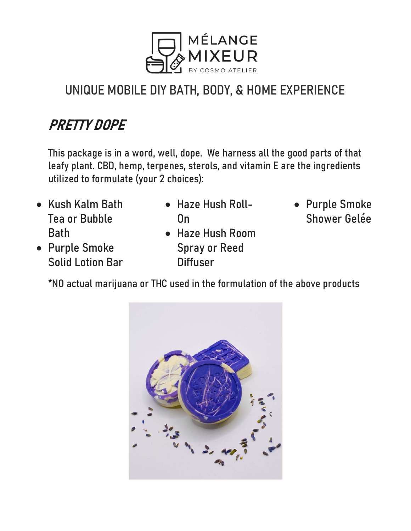

## PRETTY DOPE

This package is in a word, well, dope. We harness all the good parts of that leafy plant. CBD, hemp, terpenes, sterols, and vitamin E are the ingredients utilized to formulate (your 2 choices):

- Kush Kalm Bath Tea or Bubble Bath
- Haze Hush Roll-On
- Haze Hush Room Spray or Reed **Diffuser**
- Purple Smoke Shower Gelée
- Purple Smoke Solid Lotion Bar
	- \*NO actual marijuana or THC used in the formulation of the above products

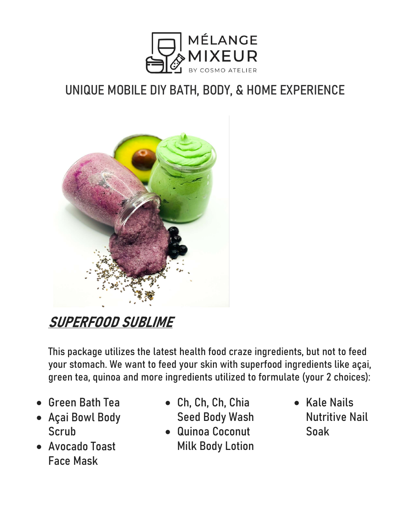



## SUPERFOOD SUBLIME

This package utilizes the latest health food craze ingredients, but not to feed your stomach. We want to feed your skin with superfood ingredients like açai, green tea, quinoa and more ingredients utilized to formulate (your 2 choices):

- Green Bath Tea
- Açai Bowl Body **Scrub**
- Avocado Toast Face Mask
- Ch, Ch, Ch, Chia Seed Body Wash
- Quinoa Coconut Milk Body Lotion
- Kale Nails Nutritive Nail Soak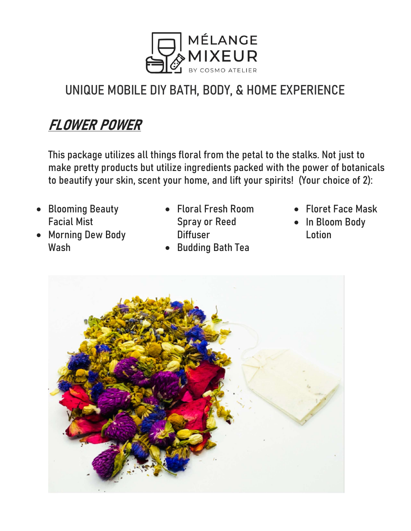

#### FLOWER POWER

This package utilizes all things floral from the petal to the stalks. Not just to make pretty products but utilize ingredients packed with the power of botanicals to beautify your skin, scent your home, and lift your spirits! (Your choice of 2):

- Blooming Beauty Facial Mist
- Morning Dew Body Wash
- Floral Fresh Room Spray or Reed **Diffuser**
- Budding Bath Tea
- Floret Face Mask
- In Bloom Body **Lotion**

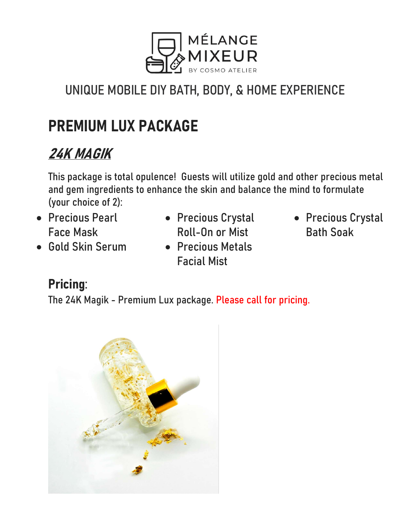

# PREMIUM LUX PACKAGE

## 24K MAGIK

This package is total opulence! Guests will utilize gold and other precious metal and gem ingredients to enhance the skin and balance the mind to formulate (your choice of 2):

- Precious Pearl Face Mask
- Gold Skin Serum
- Precious Crystal Roll-On or Mist
- Precious Metals Facial Mist
- Precious Crystal Bath Soak

#### Pricing:

The 24K Magik - Premium Lux package. Please call for pricing.